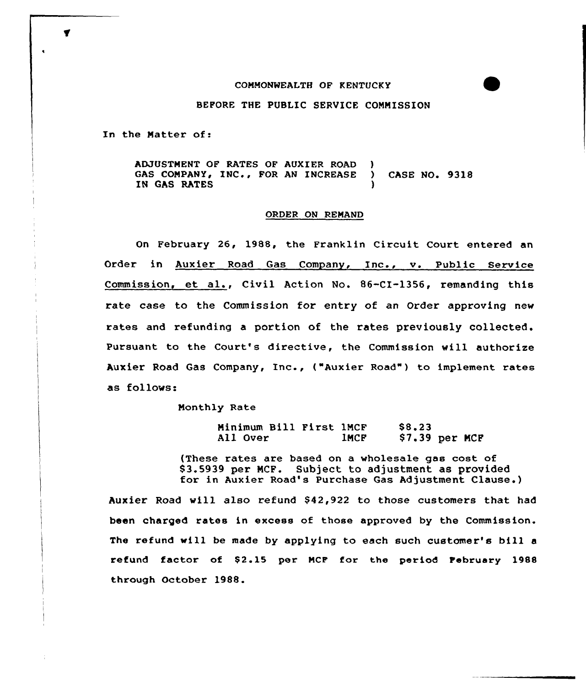## COMMONWEALTH OF KENTUCKY

## BEFORE THE PUBLIC SERVICE COMMISSION

In the Matter of:

ADJUSTMENT OF RATES OF AUXIER ROAD )<br>GAS COMPANY, INC., FOR AN INCREASE ) GAS COMPANY, INC., FOR AN INCREASE ) CASE NO. 9318 IN GAS RATES

## ORDER ON REMAND

On February 26, 1988, the Franklin Circuit Court entered an Order in Auxier Road Gas Company, Inc., v. Public Service Commission, et al., Civil Action No. 86-CI-1356, remanding this rate case to the Commission for entry of an Order approving new rates and refunding a portion of the rates previously collected. Pursuant to the Court's directive, the Commission will authorize Auxier Road Gas Company, Inc., ("Auxier Road") to implement rates as follows.

Monthly Rate

Minimum Bill First 1MCF<br>All Over 1MCF All Over \$8 23 \$ 7.39 per NCF

{These rates are based on a wholesale gas cost of 83.5939 per NCF. Subject to adjustment as provided for in Auxier Road's Purchase Gas Adjustment Clause.)

Auxier Road will also refund \$42,922 to those customers that had been charged rates in excess of those approved by the Commission. The refund will be made by applying to each such customer's bill <sup>a</sup> refund factor of \$2.15 per MCF for the period February 1988 through October 1988.

 $\blacktriangledown$ 

 $\bullet$